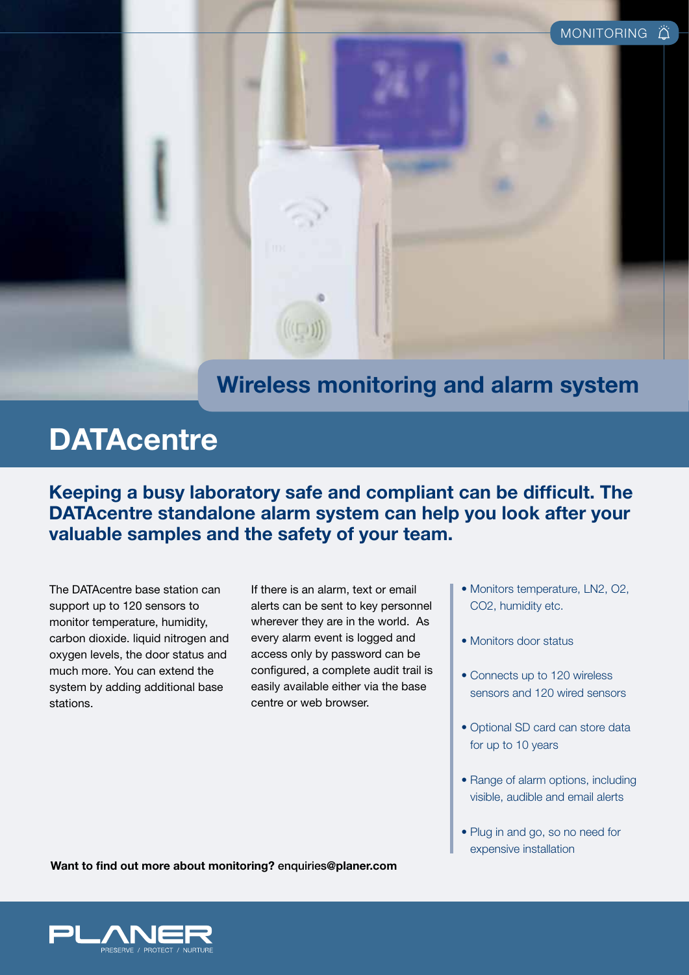

### **Wireless monitoring and alarm system**

# **DATAcentre**

**Keeping a busy laboratory safe and compliant can be difficult. The DATAcentre standalone alarm system can help you look after your valuable samples and the safety of your team.** 

The DATAcentre base station can support up to 120 sensors to monitor temperature, humidity, carbon dioxide. liquid nitrogen and oxygen levels, the door status and much more. You can extend the system by adding additional base stations.

If there is an alarm, text or email alerts can be sent to key personnel wherever they are in the world. As every alarm event is logged and access only by password can be configured, a complete audit trail is easily available either via the base centre or web browser.

- Monitors temperature, LN2, O2, CO2, humidity etc.
- Monitors door status
- Connects up to 120 wireless sensors and 120 wired sensors
- Optional SD card can store data for up to 10 years
- Range of alarm options, including visible, audible and email alerts
- Plug in and go, so no need for expensive installation

**Want to find out more about monitoring?** enquiries**@planer.com**